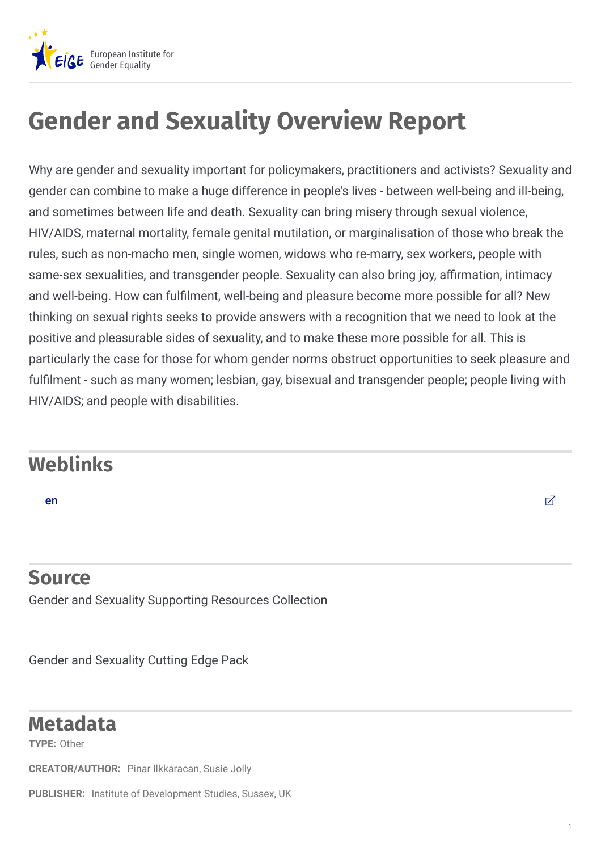

## **Gender and Sexuality Overview Report**

Why are gender and sexuality important for policymakers, practitioners and activists? Sexuality and gender can combine to make a huge difference in people's lives - between well-being and ill-being, and sometimes between life and death. Sexuality can bring misery through sexual violence, HIV/AIDS, maternal mortality, female genital mutilation, or marginalisation of those who break the rules, such as non-macho men, single women, widows who re-marry, sex workers, people with same-sex sexualities, and transgender people. Sexuality can also bring joy, affirmation, intimacy and well-being. How can fulfilment, well-being and pleasure become more possible for all? New thinking on sexual rights seeks to provide answers with a recognition that we need to look at the positive and pleasurable sides of sexuality, and to make these more possible for all. This is particularly the case for those for whom gender norms obstruct opportunities to seek pleasure and fulfilment - such as many women; lesbian, gay, bisexual and transgender people; people living with HIV/AIDS; and people with disabilities.

## **Weblinks**

## **Source**

Gender and Sexuality Supporting Resources Collection

Gender and Sexuality Cutting Edge Pack

## **Metadata**

**TYPE:** Other

**CREATOR/AUTHOR:** Pinar Ilkkaracan, Susie Jolly

PUBLISHER: Institute of Development Studies, Sussex, UK

1